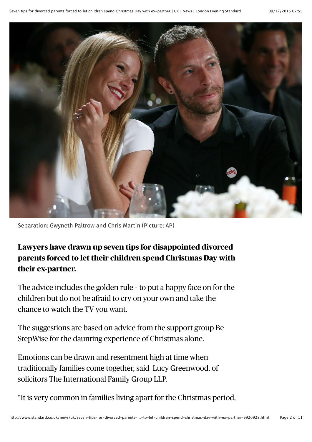

Separation: Gwyneth Paltrow and Chris Martin (Picture: AP)

**Lawyers have drawn up seven tips for disappointed divorced parents forced to let their children spend Christmas Day with their ex-partner.**

The advice includes the golden rule – to put a happy face on for the children but do not be afraid to cry on your own and take the chance to watch the TV you want.

The suggestions are based on advice from the support group Be StepWise for the daunting experience of Christmas alone.

Emotions can be drawn and resentment high at time when traditionally families come together, said Lucy Greenwood, of solicitors The International Family Group LLP.

"It is very common in families living apart for the Christmas period,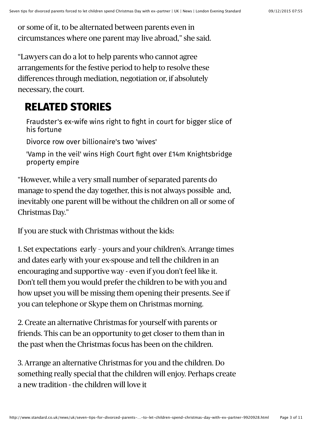or some of it, to be alternated between parents even in circumstances where one parent may live abroad," she said.

"Lawyers can do a lot to help parents who cannot agree arrangements for the festive period to help to resolve these differences through mediation, negotiation or, if absolutely necessary, the court.

## **RELATED STORIES**

[Fraudster's ex-wife wins right to fight in court for bigger slice of](http://www.standard.co.uk/news/uk/9887355.html) his fortune

[Divorce row over billionaire's two 'wives'](http://www.standard.co.uk/news/uk/9828326.html)

['Vamp in the veil' wins High Court fight over £14m Knightsbridge](http://www.standard.co.uk/news/uk/9141790.html) property empire

"However, while a very small number of separated parents do manage to spend the day together, this is not always possible and, inevitably one parent will be without the children on all or some of Christmas Day."

If you are stuck with Christmas without the kids:

1. Set expectations early – yours and your children's. Arrange times and dates early with your ex-spouse and tell the children in an encouraging and supportive way - even if you don't feel like it. Don't tell them you would prefer the children to be with you and how upset you will be missing them opening their presents. See if you can telephone or Skype them on Christmas morning.

2. Create an alternative Christmas for yourself with parents or friends. This can be an opportunity to get closer to them than in the past when the Christmas focus has been on the children.

3. Arrange an alternative Christmas for you and the children. Do something really special that the children will enjoy. Perhaps create a new tradition - the children will love it